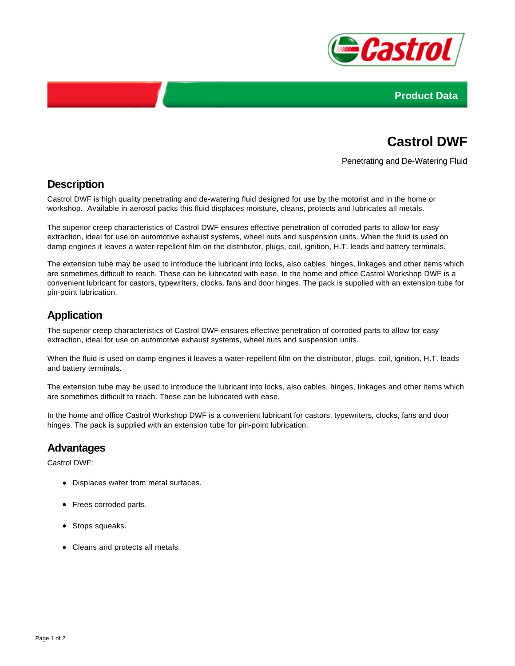



# **Castrol DWF**

Penetrating and De-Watering Fluid

## **Description**

Castrol DWF is high quality penetrating and de-watering fluid designed for use by the motorist and in the home or workshop. Available in aerosol packs this fluid displaces moisture, cleans, protects and lubricates all metals.

The superior creep characteristics of Castrol DWF ensures effective penetration of corroded parts to allow for easy extraction, ideal for use on automotive exhaust systems, wheel nuts and suspension units. When the fluid is used on damp engines it leaves a water-repellent film on the distributor, plugs, coil, ignition, H.T. leads and battery terminals.

The extension tube may be used to introduce the lubricant into locks, also cables, hinges, linkages and other items which are sometimes difficult to reach. These can be lubricated with ease. In the home and office Castrol Workshop DWF is a convenient lubricant for castors, typewriters, clocks, fans and door hinges. The pack is supplied with an extension tube for pin-point lubrication.

# **Application**

The superior creep characteristics of Castrol DWF ensures effective penetration of corroded parts to allow for easy extraction, ideal for use on automotive exhaust systems, wheel nuts and suspension units.

When the fluid is used on damp engines it leaves a water-repellent film on the distributor, plugs, coil, ignition, H.T. leads and battery terminals.

The extension tube may be used to introduce the lubricant into locks, also cables, hinges, linkages and other items which are sometimes difficult to reach. These can be lubricated with ease.

In the home and office Castrol Workshop DWF is a convenient lubricant for castors, typewriters, clocks, fans and door hinges. The pack is supplied with an extension tube for pin-point lubrication.

#### **Advantages**

Castrol DWF:

- Displaces water from metal surfaces.
- Frees corroded parts.
- Stops squeaks.
- Cleans and protects all metals.